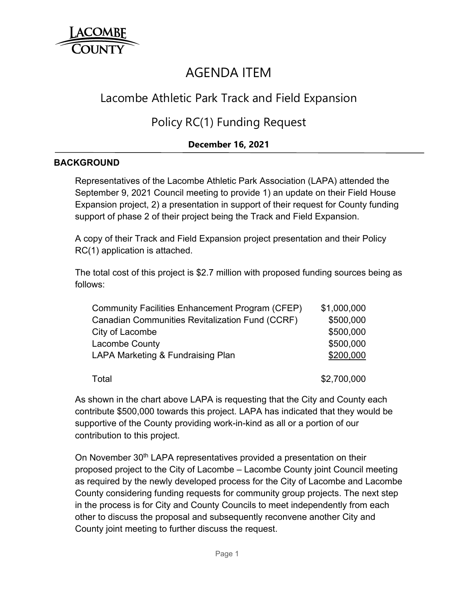

# AGENDA ITEM

## Lacombe Athletic Park Track and Field Expansion

### Policy RC(1) Funding Request

#### **December 16, 2021**

#### **BACKGROUND**

Representatives of the Lacombe Athletic Park Association (LAPA) attended the September 9, 2021 Council meeting to provide 1) an update on their Field House Expansion project, 2) a presentation in support of their request for County funding support of phase 2 of their project being the Track and Field Expansion.

A copy of their Track and Field Expansion project presentation and their Policy RC(1) application is attached.

The total cost of this project is \$2.7 million with proposed funding sources being as follows:

| <b>Community Facilities Enhancement Program (CFEP)</b> | \$1,000,000 |
|--------------------------------------------------------|-------------|
| <b>Canadian Communities Revitalization Fund (CCRF)</b> | \$500,000   |
| City of Lacombe                                        | \$500,000   |
| <b>Lacombe County</b>                                  | \$500,000   |
| LAPA Marketing & Fundraising Plan                      | \$200,000   |
| Total                                                  | \$2,700,000 |

As shown in the chart above LAPA is requesting that the City and County each contribute \$500,000 towards this project. LAPA has indicated that they would be supportive of the County providing work-in-kind as all or a portion of our contribution to this project.

On November 30<sup>th</sup> LAPA representatives provided a presentation on their proposed project to the City of Lacombe – Lacombe County joint Council meeting as required by the newly developed process for the City of Lacombe and Lacombe County considering funding requests for community group projects. The next step in the process is for City and County Councils to meet independently from each other to discuss the proposal and subsequently reconvene another City and County joint meeting to further discuss the request.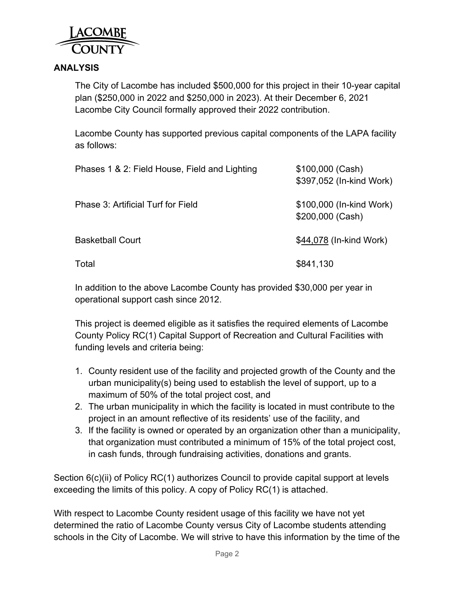

#### **ANALYSIS**

The City of Lacombe has included \$500,000 for this project in their 10-year capital plan (\$250,000 in 2022 and \$250,000 in 2023). At their December 6, 2021 Lacombe City Council formally approved their 2022 contribution.

Lacombe County has supported previous capital components of the LAPA facility as follows:

| Phases 1 & 2: Field House, Field and Lighting | \$100,000 (Cash)<br>\$397,052 (In-kind Work) |
|-----------------------------------------------|----------------------------------------------|
| Phase 3: Artificial Turf for Field            | \$100,000 (In-kind Work)<br>\$200,000 (Cash) |
| <b>Basketball Court</b>                       | \$44,078 (In-kind Work)                      |
| Total                                         | \$841,130                                    |

In addition to the above Lacombe County has provided \$30,000 per year in operational support cash since 2012.

This project is deemed eligible as it satisfies the required elements of Lacombe County Policy RC(1) Capital Support of Recreation and Cultural Facilities with funding levels and criteria being:

- 1. County resident use of the facility and projected growth of the County and the urban municipality(s) being used to establish the level of support, up to a maximum of 50% of the total project cost, and
- 2. The urban municipality in which the facility is located in must contribute to the project in an amount reflective of its residents' use of the facility, and
- 3. If the facility is owned or operated by an organization other than a municipality, that organization must contributed a minimum of 15% of the total project cost, in cash funds, through fundraising activities, donations and grants.

Section 6(c)(ii) of Policy RC(1) authorizes Council to provide capital support at levels exceeding the limits of this policy. A copy of Policy RC(1) is attached.

With respect to Lacombe County resident usage of this facility we have not yet determined the ratio of Lacombe County versus City of Lacombe students attending schools in the City of Lacombe. We will strive to have this information by the time of the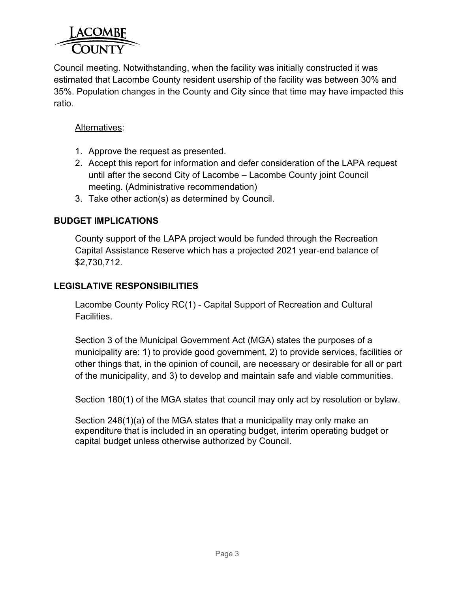

Council meeting. Notwithstanding, when the facility was initially constructed it was estimated that Lacombe County resident usership of the facility was between 30% and 35%. Population changes in the County and City since that time may have impacted this ratio.

#### Alternatives:

- 1. Approve the request as presented.
- 2. Accept this report for information and defer consideration of the LAPA request until after the second City of Lacombe – Lacombe County joint Council meeting. (Administrative recommendation)
- 3. Take other action(s) as determined by Council.

#### **BUDGET IMPLICATIONS**

County support of the LAPA project would be funded through the Recreation Capital Assistance Reserve which has a projected 2021 year-end balance of \$2,730,712.

#### **LEGISLATIVE RESPONSIBILITIES**

Lacombe County Policy RC(1) - Capital Support of Recreation and Cultural Facilities.

Section 3 of the Municipal Government Act (MGA) states the purposes of a municipality are: 1) to provide good government, 2) to provide services, facilities or other things that, in the opinion of council, are necessary or desirable for all or part of the municipality, and 3) to develop and maintain safe and viable communities.

Section 180(1) of the MGA states that council may only act by resolution or bylaw.

Section 248(1)(a) of the MGA states that a municipality may only make an expenditure that is included in an operating budget, interim operating budget or capital budget unless otherwise authorized by Council.